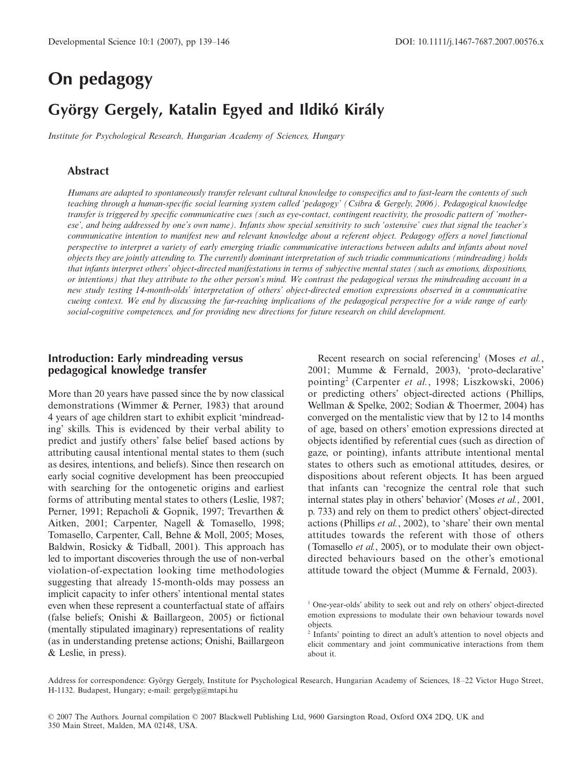# **On pedagogy György Gergely, Katalin Egyed and Ildikó Király**

*Institute for Psychological Research, Hungarian Academy of Sciences, Hungary* 

### **Abstract**

*Humans are adapted to spontaneously transfer relevant cultural knowledge to conspecifics and to fast-learn the contents of such teaching through a human-specific social learning system called 'pedagogy' (Csibra & Gergely, 2006). Pedagogical knowledge transfer is triggered by specific communicative cues (such as eye-contact, contingent reactivity, the prosodic pattern of 'motherese', and being addressed by one's own name). Infants show special sensitivity to such 'ostensive' cues that signal the teacher's communicative intention to manifest new and relevant knowledge about a referent object. Pedagogy offers a novel functional perspective to interpret a variety of early emerging triadic communicative interactions between adults and infants about novel objects they are jointly attending to. The currently dominant interpretation of such triadic communications (mindreading) holds that infants interpret others' object-directed manifestations in terms of subjective mental states (such as emotions, dispositions, or intentions) that they attribute to the other person's mind. We contrast the pedagogical versus the mindreading account in a new study testing 14-month-olds' interpretation of others' object-directed emotion expressions observed in a communicative cueing context. We end by discussing the far-reaching implications of the pedagogical perspective for a wide range of early social-cognitive competences, and for providing new directions for future research on child development.*

## **Introduction: Early mindreading versus pedagogical knowledge transfer**

More than 20 years have passed since the by now classical demonstrations (Wimmer & Perner, 1983) that around 4 years of age children start to exhibit explicit 'mindreading' skills. This is evidenced by their verbal ability to predict and justify others' false belief based actions by attributing causal intentional mental states to them (such as desires, intentions, and beliefs). Since then research on early social cognitive development has been preoccupied with searching for the ontogenetic origins and earliest forms of attributing mental states to others (Leslie, 1987; Perner, 1991; Repacholi & Gopnik, 1997; Trevarthen & Aitken, 2001; Carpenter, Nagell & Tomasello, 1998; Tomasello, Carpenter, Call, Behne & Moll, 2005; Moses, Baldwin, Rosicky & Tidball, 2001). This approach has led to important discoveries through the use of non-verbal violation-of-expectation looking time methodologies suggesting that already 15-month-olds may possess an implicit capacity to infer others' intentional mental states even when these represent a counterfactual state of affairs (false beliefs; Onishi & Baillargeon, 2005) or fictional (mentally stipulated imaginary) representations of reality (as in understanding pretense actions; Onishi, Baillargeon & Leslie, in press).

Recent research on social referencing<sup>1</sup> (Moses *et al.*, 2001; Mumme & Fernald, 2003), 'proto-declarative' pointing2 (Carpenter *et al.*, 1998; Liszkowski, 2006) or predicting others' object-directed actions (Phillips, Wellman & Spelke, 2002; Sodian & Thoermer, 2004) has converged on the mentalistic view that by 12 to 14 months of age, based on others' emotion expressions directed at objects identified by referential cues (such as direction of gaze, or pointing), infants attribute intentional mental states to others such as emotional attitudes, desires, or dispositions about referent objects. It has been argued that infants can 'recognize the central role that such internal states play in others' behavior' (Moses *et al.*, 2001, p. 733) and rely on them to predict others' object-directed actions (Phillips *et al.*, 2002), to 'share' their own mental attitudes towards the referent with those of others (Tomasello *et al.*, 2005), or to modulate their own objectdirected behaviours based on the other's emotional attitude toward the object (Mumme & Fernald, 2003).

<sup>&</sup>lt;sup>1</sup> One-year-olds' ability to seek out and rely on others' object-directed emotion expressions to modulate their own behaviour towards novel objects.

<sup>2</sup> Infants' pointing to direct an adult's attention to novel objects and elicit commentary and joint communicative interactions from them about it.

Address for correspondence: György Gergely, Institute for Psychological Research, Hungarian Academy of Sciences, 18–22 Victor Hugo Street, H-1132. Budapest, Hungary; e-mail: gergelyg@mtapi.hu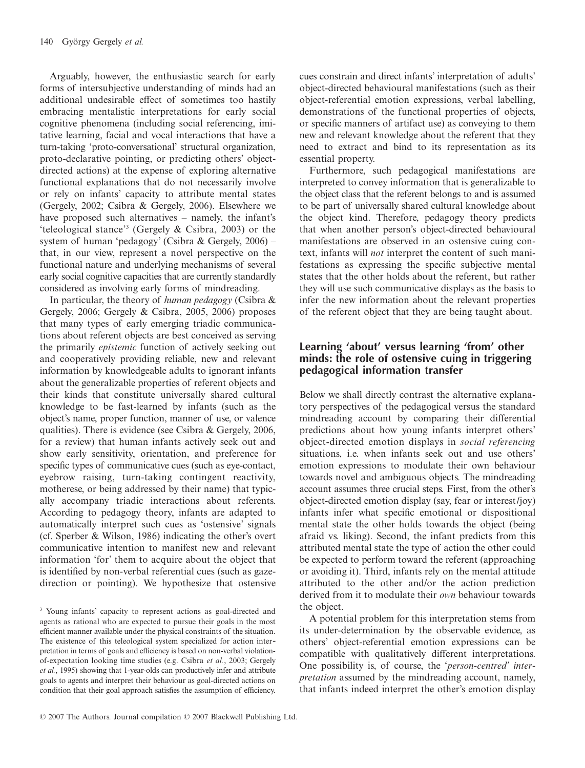Arguably, however, the enthusiastic search for early forms of intersubjective understanding of minds had an additional undesirable effect of sometimes too hastily embracing mentalistic interpretations for early social cognitive phenomena (including social referencing, imitative learning, facial and vocal interactions that have a turn-taking 'proto-conversational' structural organization, proto-declarative pointing, or predicting others' objectdirected actions) at the expense of exploring alternative functional explanations that do not necessarily involve or rely on infants' capacity to attribute mental states (Gergely, 2002; Csibra & Gergely, 2006). Elsewhere we have proposed such alternatives – namely, the infant's 'teleological stance'3 (Gergely & Csibra, 2003) or the system of human 'pedagogy' (Csibra & Gergely, 2006) – that, in our view, represent a novel perspective on the functional nature and underlying mechanisms of several early social cognitive capacities that are currently standardly considered as involving early forms of mindreading.

In particular, the theory of *human pedagogy* (Csibra & Gergely, 2006; Gergely & Csibra, 2005, 2006) proposes that many types of early emerging triadic communications about referent objects are best conceived as serving the primarily *epistemic* function of actively seeking out and cooperatively providing reliable, new and relevant information by knowledgeable adults to ignorant infants about the generalizable properties of referent objects and their kinds that constitute universally shared cultural knowledge to be fast-learned by infants (such as the object's name, proper function, manner of use, or valence qualities). There is evidence (see Csibra & Gergely, 2006, for a review) that human infants actively seek out and show early sensitivity, orientation, and preference for specific types of communicative cues (such as eye-contact, eyebrow raising, turn-taking contingent reactivity, motherese, or being addressed by their name) that typically accompany triadic interactions about referents. According to pedagogy theory, infants are adapted to automatically interpret such cues as 'ostensive' signals (cf. Sperber & Wilson, 1986) indicating the other's overt communicative intention to manifest new and relevant information 'for' them to acquire about the object that is identified by non-verbal referential cues (such as gazedirection or pointing). We hypothesize that ostensive cues constrain and direct infants' interpretation of adults' object-directed behavioural manifestations (such as their object-referential emotion expressions, verbal labelling, demonstrations of the functional properties of objects, or specific manners of artifact use) as conveying to them new and relevant knowledge about the referent that they need to extract and bind to its representation as its essential property.

Furthermore, such pedagogical manifestations are interpreted to convey information that is generalizable to the object class that the referent belongs to and is assumed to be part of universally shared cultural knowledge about the object kind. Therefore, pedagogy theory predicts that when another person's object-directed behavioural manifestations are observed in an ostensive cuing context, infants will *not* interpret the content of such manifestations as expressing the specific subjective mental states that the other holds about the referent, but rather they will use such communicative displays as the basis to infer the new information about the relevant properties of the referent object that they are being taught about.

## **Learning 'about' versus learning 'from' other minds: the role of ostensive cuing in triggering pedagogical information transfer**

Below we shall directly contrast the alternative explanatory perspectives of the pedagogical versus the standard mindreading account by comparing their differential predictions about how young infants interpret others' object-directed emotion displays in *social referencing* situations, i.e. when infants seek out and use others' emotion expressions to modulate their own behaviour towards novel and ambiguous objects. The mindreading account assumes three crucial steps. First, from the other's object-directed emotion display (say, fear or interest/joy) infants infer what specific emotional or dispositional mental state the other holds towards the object (being afraid vs. liking). Second, the infant predicts from this attributed mental state the type of action the other could be expected to perform toward the referent (approaching or avoiding it). Third, infants rely on the mental attitude attributed to the other and/or the action prediction derived from it to modulate their *own* behaviour towards the object.

A potential problem for this interpretation stems from its under-determination by the observable evidence, as others' object-referential emotion expressions can be compatible with qualitatively different interpretations. One possibility is, of course, the '*person-centred' interpretation* assumed by the mindreading account, namely, that infants indeed interpret the other's emotion display

<sup>&</sup>lt;sup>3</sup> Young infants' capacity to represent actions as goal-directed and agents as rational who are expected to pursue their goals in the most efficient manner available under the physical constraints of the situation. The existence of this teleological system specialized for action interpretation in terms of goals and efficiency is based on non-verbal violationof-expectation looking time studies (e.g. Csibra *et al.*, 2003; Gergely *et al.*, 1995) showing that 1-year-olds can productively infer and attribute goals to agents and interpret their behaviour as goal-directed actions on condition that their goal approach satisfies the assumption of efficiency.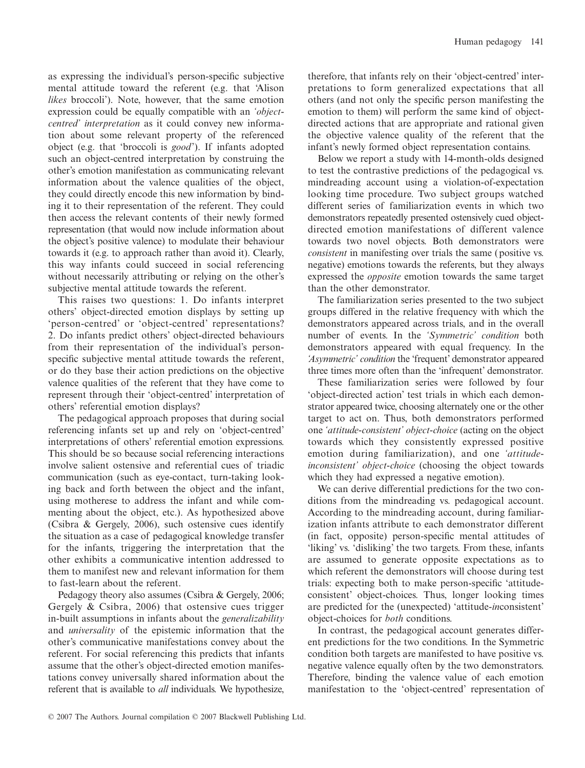as expressing the individual's person-specific subjective mental attitude toward the referent (e.g. that 'Alison *likes* broccoli'). Note, however, that the same emotion expression could be equally compatible with an *'objectcentred' interpretation* as it could convey new information about some relevant property of the referenced object (e.g. that 'broccoli is *good*'). If infants adopted such an object-centred interpretation by construing the other's emotion manifestation as communicating relevant information about the valence qualities of the object, they could directly encode this new information by binding it to their representation of the referent. They could then access the relevant contents of their newly formed representation (that would now include information about the object's positive valence) to modulate their behaviour towards it (e.g. to approach rather than avoid it). Clearly, this way infants could succeed in social referencing without necessarily attributing or relying on the other's subjective mental attitude towards the referent.

This raises two questions: 1. Do infants interpret others' object-directed emotion displays by setting up 'person-centred' or 'object-centred' representations? 2. Do infants predict others' object-directed behaviours from their representation of the individual's personspecific subjective mental attitude towards the referent, or do they base their action predictions on the objective valence qualities of the referent that they have come to represent through their 'object-centred' interpretation of others' referential emotion displays?

The pedagogical approach proposes that during social referencing infants set up and rely on 'object-centred' interpretations of others' referential emotion expressions. This should be so because social referencing interactions involve salient ostensive and referential cues of triadic communication (such as eye-contact, turn-taking looking back and forth between the object and the infant, using motherese to address the infant and while commenting about the object, etc.). As hypothesized above (Csibra & Gergely, 2006), such ostensive cues identify the situation as a case of pedagogical knowledge transfer for the infants, triggering the interpretation that the other exhibits a communicative intention addressed to them to manifest new and relevant information for them to fast-learn about the referent.

Pedagogy theory also assumes (Csibra & Gergely, 2006; Gergely & Csibra, 2006) that ostensive cues trigger in-built assumptions in infants about the *generalizability* and *universality* of the epistemic information that the other's communicative manifestations convey about the referent. For social referencing this predicts that infants assume that the other's object-directed emotion manifestations convey universally shared information about the referent that is available to *all* individuals. We hypothesize, therefore, that infants rely on their 'object-centred' interpretations to form generalized expectations that all others (and not only the specific person manifesting the emotion to them) will perform the same kind of objectdirected actions that are appropriate and rational given the objective valence quality of the referent that the infant's newly formed object representation contains.

Below we report a study with 14-month-olds designed to test the contrastive predictions of the pedagogical vs. mindreading account using a violation-of-expectation looking time procedure. Two subject groups watched different series of familiarization events in which two demonstrators repeatedly presented ostensively cued objectdirected emotion manifestations of different valence towards two novel objects. Both demonstrators were *consistent* in manifesting over trials the same (positive vs. negative) emotions towards the referents, but they always expressed the *opposite* emotion towards the same target than the other demonstrator.

The familiarization series presented to the two subject groups differed in the relative frequency with which the demonstrators appeared across trials, and in the overall number of events. In the *'Symmetric' condition* both demonstrators appeared with equal frequency. In the *'Asymmetric' condition* the 'frequent' demonstrator appeared three times more often than the 'infrequent' demonstrator.

These familiarization series were followed by four 'object-directed action' test trials in which each demonstrator appeared twice, choosing alternately one or the other target to act on. Thus, both demonstrators performed one *'attitude-consistent' object-choice* (acting on the object towards which they consistently expressed positive emotion during familiarization), and one *'attitudeinconsistent' object-choice* (choosing the object towards which they had expressed a negative emotion).

We can derive differential predictions for the two conditions from the mindreading vs. pedagogical account. According to the mindreading account, during familiarization infants attribute to each demonstrator different (in fact, opposite) person-specific mental attitudes of 'liking' vs. 'disliking' the two targets. From these, infants are assumed to generate opposite expectations as to which referent the demonstrators will choose during test trials: expecting both to make person-specific 'attitudeconsistent' object-choices. Thus, longer looking times are predicted for the (unexpected) 'attitude-*in*consistent' object-choices for *both* conditions.

In contrast, the pedagogical account generates different predictions for the two conditions. In the Symmetric condition both targets are manifested to have positive vs. negative valence equally often by the two demonstrators. Therefore, binding the valence value of each emotion manifestation to the 'object-centred' representation of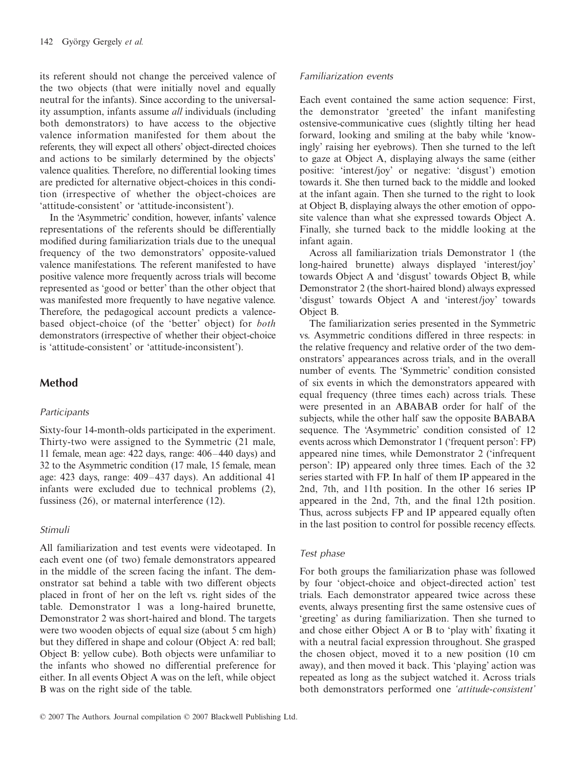its referent should not change the perceived valence of the two objects (that were initially novel and equally neutral for the infants). Since according to the universality assumption, infants assume *all* individuals (including both demonstrators) to have access to the objective valence information manifested for them about the referents, they will expect all others' object-directed choices and actions to be similarly determined by the objects' valence qualities. Therefore, no differential looking times are predicted for alternative object-choices in this condition (irrespective of whether the object-choices are 'attitude-consistent' or 'attitude-inconsistent').

In the 'Asymmetric' condition, however, infants' valence representations of the referents should be differentially modified during familiarization trials due to the unequal frequency of the two demonstrators' opposite-valued valence manifestations. The referent manifested to have positive valence more frequently across trials will become represented as 'good or better' than the other object that was manifested more frequently to have negative valence. Therefore, the pedagogical account predicts a valencebased object-choice (of the 'better' object) for *both* demonstrators (irrespective of whether their object-choice is 'attitude-consistent' or 'attitude-inconsistent').

## **Method**

#### *Participants*

Sixty-four 14-month-olds participated in the experiment. Thirty-two were assigned to the Symmetric (21 male, 11 female, mean age: 422 days, range: 406–440 days) and 32 to the Asymmetric condition (17 male, 15 female, mean age: 423 days, range: 409–437 days). An additional 41 infants were excluded due to technical problems (2), fussiness (26), or maternal interference (12).

#### *Stimuli*

All familiarization and test events were videotaped. In each event one (of two) female demonstrators appeared in the middle of the screen facing the infant. The demonstrator sat behind a table with two different objects placed in front of her on the left vs. right sides of the table. Demonstrator 1 was a long-haired brunette, Demonstrator 2 was short-haired and blond. The targets were two wooden objects of equal size (about 5 cm high) but they differed in shape and colour (Object A: red ball; Object B: yellow cube). Both objects were unfamiliar to the infants who showed no differential preference for either. In all events Object A was on the left, while object B was on the right side of the table.

Each event contained the same action sequence: First, the demonstrator 'greeted' the infant manifesting ostensive-communicative cues (slightly tilting her head forward, looking and smiling at the baby while 'knowingly' raising her eyebrows). Then she turned to the left to gaze at Object A, displaying always the same (either positive: 'interest/joy' or negative: 'disgust') emotion towards it. She then turned back to the middle and looked at the infant again. Then she turned to the right to look at Object B, displaying always the other emotion of opposite valence than what she expressed towards Object A. Finally, she turned back to the middle looking at the infant again.

Across all familiarization trials Demonstrator 1 (the long-haired brunette) always displayed 'interest/joy' towards Object A and 'disgust' towards Object B, while Demonstrator 2 (the short-haired blond) always expressed 'disgust' towards Object A and 'interest/joy' towards Object B.

The familiarization series presented in the Symmetric vs. Asymmetric conditions differed in three respects: in the relative frequency and relative order of the two demonstrators' appearances across trials, and in the overall number of events. The 'Symmetric' condition consisted of six events in which the demonstrators appeared with equal frequency (three times each) across trials. These were presented in an ABABAB order for half of the subjects, while the other half saw the opposite BABABA sequence. The 'Asymmetric' condition consisted of 12 events across which Demonstrator 1 ('frequent person': FP) appeared nine times, while Demonstrator 2 ('infrequent person': IP) appeared only three times. Each of the 32 series started with FP. In half of them IP appeared in the 2nd, 7th, and 11th position. In the other 16 series IP appeared in the 2nd, 7th, and the final 12th position. Thus, across subjects FP and IP appeared equally often in the last position to control for possible recency effects.

#### *Test phase*

For both groups the familiarization phase was followed by four 'object-choice and object-directed action' test trials. Each demonstrator appeared twice across these events, always presenting first the same ostensive cues of 'greeting' as during familiarization. Then she turned to and chose either Object A or B to 'play with' fixating it with a neutral facial expression throughout. She grasped the chosen object, moved it to a new position (10 cm away), and then moved it back. This 'playing' action was repeated as long as the subject watched it. Across trials both demonstrators performed one *'attitude-consistent'*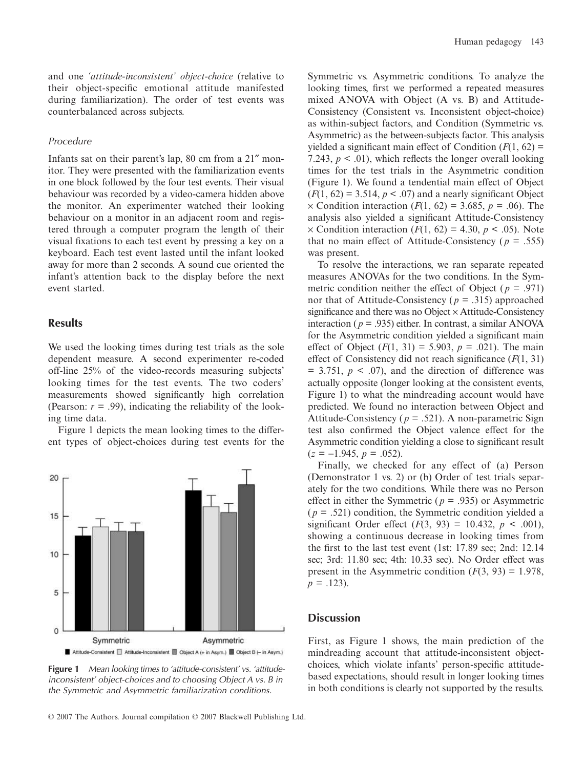and one *'attitude-inconsistent' object-choice* (relative to their object-specific emotional attitude manifested during familiarization). The order of test events was counterbalanced across subjects.

#### *Procedure*

Infants sat on their parent's lap, 80 cm from a 21″ monitor. They were presented with the familiarization events in one block followed by the four test events. Their visual behaviour was recorded by a video-camera hidden above the monitor. An experimenter watched their looking behaviour on a monitor in an adjacent room and registered through a computer program the length of their visual fixations to each test event by pressing a key on a keyboard. Each test event lasted until the infant looked away for more than 2 seconds. A sound cue oriented the infant's attention back to the display before the next event started.

## **Results**

We used the looking times during test trials as the sole dependent measure. A second experimenter re-coded off-line 25% of the video-records measuring subjects' looking times for the test events. The two coders' measurements showed significantly high correlation (Pearson:  $r = .99$ ), indicating the reliability of the looking time data.

Figure 1 depicts the mean looking times to the different types of object-choices during test events for the



**Figure 1** *Mean looking times to 'attitude-consistent' vs. 'attitudeinconsistent' object-choices and to choosing Object A vs. B in the Symmetric and Asymmetric familiarization conditions.*

Symmetric vs. Asymmetric conditions. To analyze the looking times, first we performed a repeated measures mixed ANOVA with Object (A vs. B) and Attitude-Consistency (Consistent vs. Inconsistent object-choice) as within-subject factors, and Condition (Symmetric vs. Asymmetric) as the between-subjects factor. This analysis yielded a significant main effect of Condition  $(F(1, 62) =$ 7.243,  $p < .01$ ), which reflects the longer overall looking times for the test trials in the Asymmetric condition (Figure 1). We found a tendential main effect of Object  $(F(1, 62) = 3.514, p < .07)$  and a nearly significant Object  $\times$  Condition interaction ( $F(1, 62) = 3.685$ ,  $p = .06$ ). The analysis also yielded a significant Attitude-Consistency  $\times$  Condition interaction ( $F(1, 62) = 4.30, p < .05$ ). Note that no main effect of Attitude-Consistency ( $p = .555$ ) was present.

To resolve the interactions, we ran separate repeated measures ANOVAs for the two conditions. In the Symmetric condition neither the effect of Object ( $p = .971$ ) nor that of Attitude-Consistency ( $p = .315$ ) approached significance and there was no Object × Attitude-Consistency interaction ( $p = .935$ ) either. In contrast, a similar ANOVA for the Asymmetric condition yielded a significant main effect of Object  $(F(1, 31) = 5.903, p = .021)$ . The main effect of Consistency did not reach significance (*F*(1, 31)  $= 3.751, p \leq .07$ , and the direction of difference was actually opposite (longer looking at the consistent events, Figure 1) to what the mindreading account would have predicted. We found no interaction between Object and Attitude-Consistency ( $p = .521$ ). A non-parametric Sign test also confirmed the Object valence effect for the Asymmetric condition yielding a close to significant result  $(z = -1.945, p = .052)$ .

Finally, we checked for any effect of (a) Person (Demonstrator 1 vs. 2) or (b) Order of test trials separately for the two conditions. While there was no Person effect in either the Symmetric ( $p = .935$ ) or Asymmetric  $(p = .521)$  condition, the Symmetric condition yielded a significant Order effect  $(F(3, 93) = 10.432, p < .001)$ , showing a continuous decrease in looking times from the first to the last test event (1st: 17.89 sec; 2nd: 12.14 sec; 3rd: 11.80 sec; 4th: 10.33 sec). No Order effect was present in the Asymmetric condition  $(F(3, 93) = 1.978$ ,  $p = .123$ ).

## **Discussion**

First, as Figure 1 shows, the main prediction of the mindreading account that attitude-inconsistent objectchoices, which violate infants' person-specific attitudebased expectations, should result in longer looking times in both conditions is clearly not supported by the results.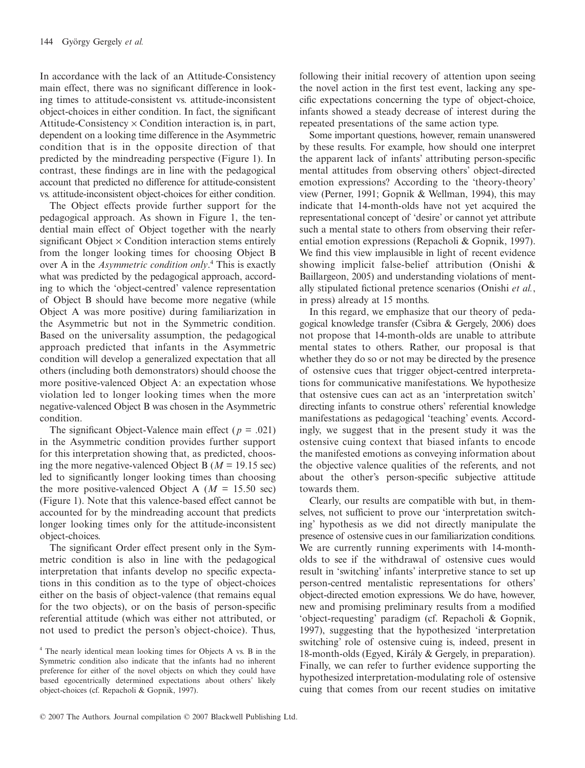In accordance with the lack of an Attitude-Consistency main effect, there was no significant difference in looking times to attitude-consistent vs. attitude-inconsistent object-choices in either condition. In fact, the significant Attitude-Consistency  $\times$  Condition interaction is, in part, dependent on a looking time difference in the Asymmetric condition that is in the opposite direction of that predicted by the mindreading perspective (Figure 1). In contrast, these findings are in line with the pedagogical account that predicted no difference for attitude-consistent vs. attitude-inconsistent object-choices for either condition.

The Object effects provide further support for the pedagogical approach. As shown in Figure 1, the tendential main effect of Object together with the nearly significant Object  $\times$  Condition interaction stems entirely from the longer looking times for choosing Object B over A in the *Asymmetric condition only*. <sup>4</sup> This is exactly what was predicted by the pedagogical approach, according to which the 'object-centred' valence representation of Object B should have become more negative (while Object A was more positive) during familiarization in the Asymmetric but not in the Symmetric condition. Based on the universality assumption, the pedagogical approach predicted that infants in the Asymmetric condition will develop a generalized expectation that all others (including both demonstrators) should choose the more positive-valenced Object A: an expectation whose violation led to longer looking times when the more negative-valenced Object B was chosen in the Asymmetric condition.

The significant Object-Valence main effect ( $p = .021$ ) in the Asymmetric condition provides further support for this interpretation showing that, as predicted, choosing the more negative-valenced Object B  $(M = 19.15 \text{ sec})$ led to significantly longer looking times than choosing the more positive-valenced Object A  $(M = 15.50 \text{ sec})$ (Figure 1). Note that this valence-based effect cannot be accounted for by the mindreading account that predicts longer looking times only for the attitude-inconsistent object-choices.

The significant Order effect present only in the Symmetric condition is also in line with the pedagogical interpretation that infants develop no specific expectations in this condition as to the type of object-choices either on the basis of object-valence (that remains equal for the two objects), or on the basis of person-specific referential attitude (which was either not attributed, or not used to predict the person's object-choice). Thus,

following their initial recovery of attention upon seeing the novel action in the first test event, lacking any specific expectations concerning the type of object-choice, infants showed a steady decrease of interest during the repeated presentations of the same action type.

Some important questions, however, remain unanswered by these results. For example, how should one interpret the apparent lack of infants' attributing person-specific mental attitudes from observing others' object-directed emotion expressions? According to the 'theory-theory' view (Perner, 1991; Gopnik & Wellman, 1994), this may indicate that 14-month-olds have not yet acquired the representational concept of 'desire' or cannot yet attribute such a mental state to others from observing their referential emotion expressions (Repacholi & Gopnik, 1997). We find this view implausible in light of recent evidence showing implicit false-belief attribution (Onishi & Baillargeon, 2005) and understanding violations of mentally stipulated fictional pretence scenarios (Onishi *et al.*, in press) already at 15 months.

In this regard, we emphasize that our theory of pedagogical knowledge transfer (Csibra & Gergely, 2006) does not propose that 14-month-olds are unable to attribute mental states to others. Rather, our proposal is that whether they do so or not may be directed by the presence of ostensive cues that trigger object-centred interpretations for communicative manifestations. We hypothesize that ostensive cues can act as an 'interpretation switch' directing infants to construe others' referential knowledge manifestations as pedagogical 'teaching' events. Accordingly, we suggest that in the present study it was the ostensive cuing context that biased infants to encode the manifested emotions as conveying information about the objective valence qualities of the referents, and not about the other's person-specific subjective attitude towards them.

Clearly, our results are compatible with but, in themselves, not sufficient to prove our 'interpretation switching' hypothesis as we did not directly manipulate the presence of ostensive cues in our familiarization conditions. We are currently running experiments with 14-montholds to see if the withdrawal of ostensive cues would result in 'switching' infants' interpretive stance to set up person-centred mentalistic representations for others' object-directed emotion expressions. We do have, however, new and promising preliminary results from a modified 'object-requesting' paradigm (cf. Repacholi & Gopnik, 1997), suggesting that the hypothesized 'interpretation switching' role of ostensive cuing is, indeed, present in 18-month-olds (Egyed, Király & Gergely, in preparation). Finally, we can refer to further evidence supporting the hypothesized interpretation-modulating role of ostensive cuing that comes from our recent studies on imitative

<sup>4</sup> The nearly identical mean looking times for Objects A vs. B in the Symmetric condition also indicate that the infants had no inherent preference for either of the novel objects on which they could have based egocentrically determined expectations about others' likely object-choices (cf. Repacholi & Gopnik, 1997).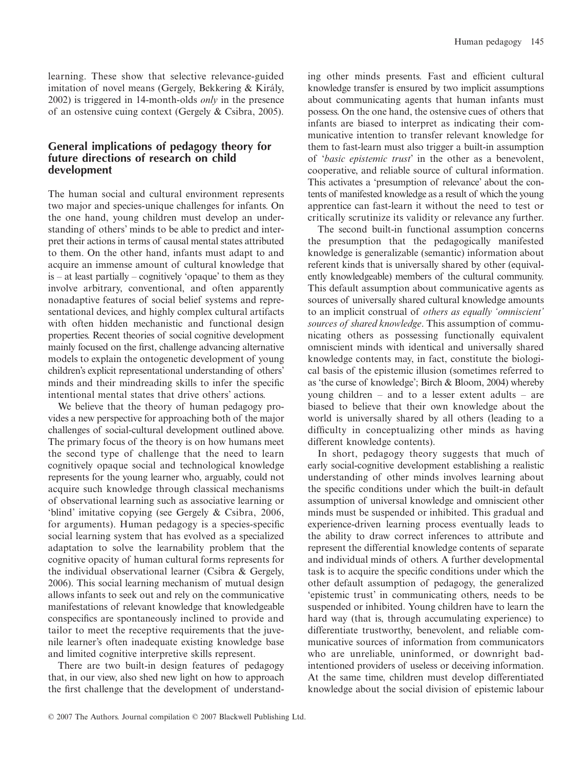learning. These show that selective relevance-guided imitation of novel means (Gergely, Bekkering & Király, 2002) is triggered in 14-month-olds *only* in the presence of an ostensive cuing context (Gergely & Csibra, 2005).

## **General implications of pedagogy theory for future directions of research on child development**

The human social and cultural environment represents two major and species-unique challenges for infants. On the one hand, young children must develop an understanding of others' minds to be able to predict and interpret their actions in terms of causal mental states attributed to them. On the other hand, infants must adapt to and acquire an immense amount of cultural knowledge that is – at least partially – cognitively 'opaque' to them as they involve arbitrary, conventional, and often apparently nonadaptive features of social belief systems and representational devices, and highly complex cultural artifacts with often hidden mechanistic and functional design properties. Recent theories of social cognitive development mainly focused on the first, challenge advancing alternative models to explain the ontogenetic development of young children's explicit representational understanding of others' minds and their mindreading skills to infer the specific intentional mental states that drive others' actions.

We believe that the theory of human pedagogy provides a new perspective for approaching both of the major challenges of social-cultural development outlined above. The primary focus of the theory is on how humans meet the second type of challenge that the need to learn cognitively opaque social and technological knowledge represents for the young learner who, arguably, could not acquire such knowledge through classical mechanisms of observational learning such as associative learning or 'blind' imitative copying (see Gergely & Csibra, 2006, for arguments). Human pedagogy is a species-specific social learning system that has evolved as a specialized adaptation to solve the learnability problem that the cognitive opacity of human cultural forms represents for the individual observational learner (Csibra & Gergely, 2006). This social learning mechanism of mutual design allows infants to seek out and rely on the communicative manifestations of relevant knowledge that knowledgeable conspecifics are spontaneously inclined to provide and tailor to meet the receptive requirements that the juvenile learner's often inadequate existing knowledge base and limited cognitive interpretive skills represent.

There are two built-in design features of pedagogy that, in our view, also shed new light on how to approach the first challenge that the development of understanding other minds presents. Fast and efficient cultural knowledge transfer is ensured by two implicit assumptions about communicating agents that human infants must possess. On the one hand, the ostensive cues of others that infants are biased to interpret as indicating their communicative intention to transfer relevant knowledge for them to fast-learn must also trigger a built-in assumption of '*basic epistemic trust*' in the other as a benevolent, cooperative, and reliable source of cultural information. This activates a 'presumption of relevance' about the contents of manifested knowledge as a result of which the young apprentice can fast-learn it without the need to test or critically scrutinize its validity or relevance any further.

The second built-in functional assumption concerns the presumption that the pedagogically manifested knowledge is generalizable (semantic) information about referent kinds that is universally shared by other (equivalently knowledgeable) members of the cultural community. This default assumption about communicative agents as sources of universally shared cultural knowledge amounts to an implicit construal of *others as equally 'omniscient' sources of shared knowledge*. This assumption of communicating others as possessing functionally equivalent omniscient minds with identical and universally shared knowledge contents may, in fact, constitute the biological basis of the epistemic illusion (sometimes referred to as 'the curse of knowledge'; Birch & Bloom, 2004) whereby young children – and to a lesser extent adults – are biased to believe that their own knowledge about the world is universally shared by all others (leading to a difficulty in conceptualizing other minds as having different knowledge contents).

In short, pedagogy theory suggests that much of early social-cognitive development establishing a realistic understanding of other minds involves learning about the specific conditions under which the built-in default assumption of universal knowledge and omniscient other minds must be suspended or inhibited. This gradual and experience-driven learning process eventually leads to the ability to draw correct inferences to attribute and represent the differential knowledge contents of separate and individual minds of others. A further developmental task is to acquire the specific conditions under which the other default assumption of pedagogy, the generalized 'epistemic trust' in communicating others, needs to be suspended or inhibited. Young children have to learn the hard way (that is, through accumulating experience) to differentiate trustworthy, benevolent, and reliable communicative sources of information from communicators who are unreliable, uninformed, or downright badintentioned providers of useless or deceiving information. At the same time, children must develop differentiated knowledge about the social division of epistemic labour